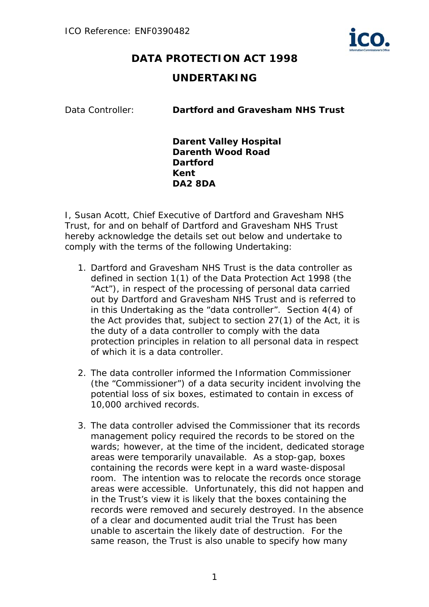

## **DATA PROTECTION ACT 1998**

## **UNDERTAKING**

Data Controller: **Dartford and Gravesham NHS Trust** 

**Darent Valley Hospital Darenth Wood Road Dartford Kent DA2 8DA**

I, Susan Acott, Chief Executive of Dartford and Gravesham NHS Trust, for and on behalf of Dartford and Gravesham NHS Trust hereby acknowledge the details set out below and undertake to comply with the terms of the following Undertaking:

- 1. Dartford and Gravesham NHS Trust is the data controller as defined in section 1(1) of the Data Protection Act 1998 (the "Act"), in respect of the processing of personal data carried out by Dartford and Gravesham NHS Trust and is referred to in this Undertaking as the "data controller". Section 4(4) of the Act provides that, subject to section 27(1) of the Act, it is the duty of a data controller to comply with the data protection principles in relation to all personal data in respect of which it is a data controller.
- 2. The data controller informed the Information Commissioner (the "Commissioner") of a data security incident involving the potential loss of six boxes, estimated to contain in excess of 10,000 archived records.
- 3. The data controller advised the Commissioner that its records management policy required the records to be stored on the wards; however, at the time of the incident, dedicated storage areas were temporarily unavailable. As a stop-gap, boxes containing the records were kept in a ward waste-disposal room. The intention was to relocate the records once storage areas were accessible. Unfortunately, this did not happen and in the Trust's view it is likely that the boxes containing the records were removed and securely destroyed. In the absence of a clear and documented audit trial the Trust has been unable to ascertain the likely date of destruction. For the same reason, the Trust is also unable to specify how many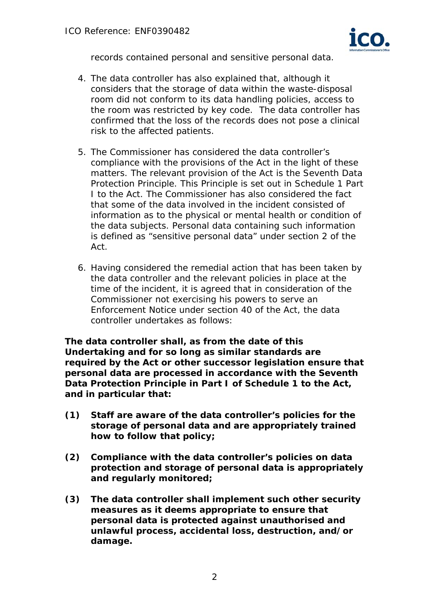

records contained personal and sensitive personal data.

- 4. The data controller has also explained that, although it considers that the storage of data within the waste-disposal room did not conform to its data handling policies, access to the room was restricted by key code. The data controller has confirmed that the loss of the records does not pose a clinical risk to the affected patients.
- 5. The Commissioner has considered the data controller's compliance with the provisions of the Act in the light of these matters. The relevant provision of the Act is the Seventh Data Protection Principle. This Principle is set out in Schedule 1 Part I to the Act. The Commissioner has also considered the fact that some of the data involved in the incident consisted of information as to the physical or mental health or condition of the data subjects. Personal data containing such information is defined as "sensitive personal data" under section 2 of the Act.
- 6. Having considered the remedial action that has been taken by the data controller and the relevant policies in place at the time of the incident, it is agreed that in consideration of the Commissioner not exercising his powers to serve an Enforcement Notice under section 40 of the Act, the data controller undertakes as follows:

**The data controller shall, as from the date of this Undertaking and for so long as similar standards are required by the Act or other successor legislation ensure that personal data are processed in accordance with the Seventh Data Protection Principle in Part I of Schedule 1 to the Act, and in particular that:** 

- **(1) Staff are aware of the data controller's policies for the storage of personal data and are appropriately trained how to follow that policy;**
- **(2) Compliance with the data controller's policies on data protection and storage of personal data is appropriately and regularly monitored;**
- **(3) The data controller shall implement such other security measures as it deems appropriate to ensure that personal data is protected against unauthorised and unlawful process, accidental loss, destruction, and/or damage.**